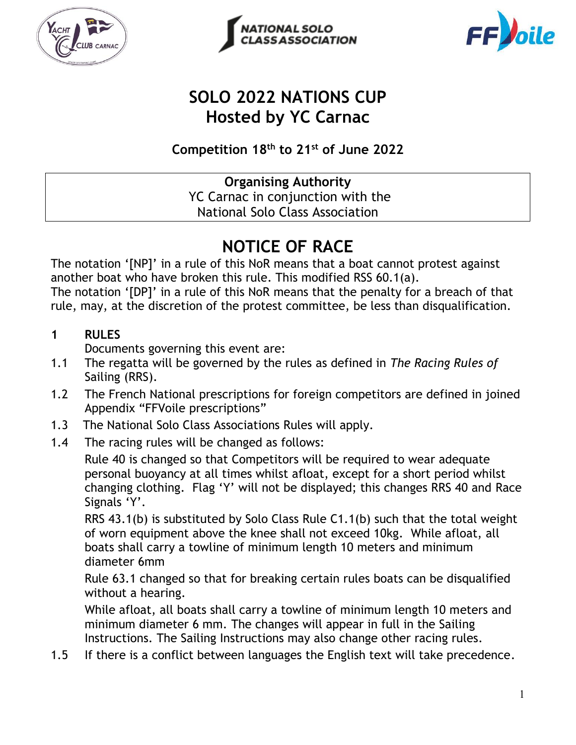





# **SOLO 2022 NATIONS CUP Hosted by YC Carnac**

**Competition 18 th to 21st of June 2022**

**Organising Authority** YC Carnac in conjunction with the National Solo Class Association

# **NOTICE OF RACE**

The notation '[NP]' in a rule of this NoR means that a boat cannot protest against another boat who have broken this rule. This modified RSS 60.1(a).

The notation '[DP]' in a rule of this NoR means that the penalty for a breach of that rule, may, at the discretion of the protest committee, be less than disqualification.

### **1 RULES**

Documents governing this event are:

- 1.1 The regatta will be governed by the rules as defined in *The Racing Rules of*  Sailing (RRS).
- 1.2 The French National prescriptions for foreign competitors are defined in joined Appendix "FFVoile prescriptions"
- 1.3 The National Solo Class Associations Rules will apply.
- 1.4 The racing rules will be changed as follows:

Rule 40 is changed so that Competitors will be required to wear adequate personal buoyancy at all times whilst afloat, except for a short period whilst changing clothing. Flag 'Y' will not be displayed; this changes RRS 40 and Race Signals 'Y'.

RRS 43.1(b) is substituted by Solo Class Rule C1.1(b) such that the total weight of worn equipment above the knee shall not exceed 10kg. While afloat, all boats shall carry a towline of minimum length 10 meters and minimum diameter 6mm

Rule 63.1 changed so that for breaking certain rules boats can be disqualified without a hearing.

While afloat, all boats shall carry a towline of minimum length 10 meters and minimum diameter 6 mm. The changes will appear in full in the Sailing Instructions. The Sailing Instructions may also change other racing rules.

1.5 If there is a conflict between languages the English text will take precedence.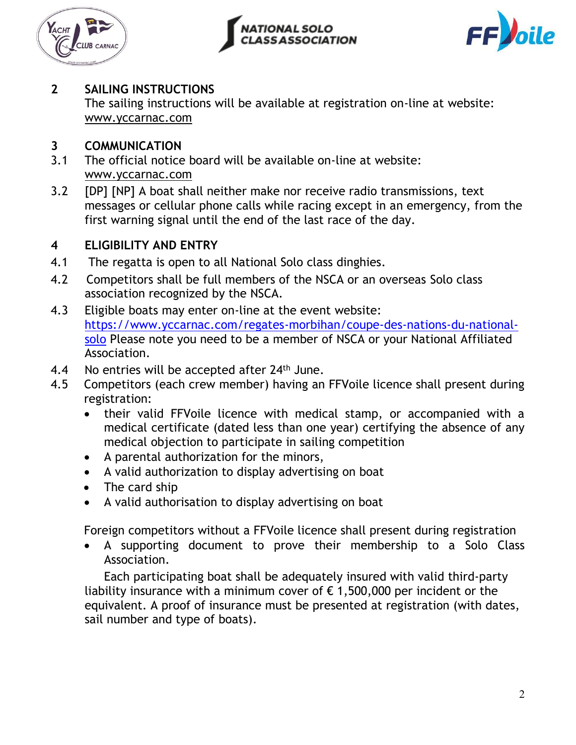





### **2 SAILING INSTRUCTIONS**

The sailing instructions will be available at registration on-line at website: [www.yccarnac.com](http://www.yccarnac.com/)

### **3 COMMUNICATION**

- 3.1 The official notice board will be available on-line at website: [www.yccarnac.com](http://www.yccarnac.com/)
- 3.2 [DP] [NP] A boat shall neither make nor receive radio transmissions, text messages or cellular phone calls while racing except in an emergency, from the first warning signal until the end of the last race of the day.

### **4 ELIGIBILITY AND ENTRY**

- 4.1 The regatta is open to all National Solo class dinghies.
- 4.2 Competitors shall be full members of the NSCA or an overseas Solo class association recognized by the NSCA.
- 4.3 Eligible boats may enter on-line at the event website: [https://www.yccarnac.com/regates-morbihan/coupe-des-nations-du-national](https://www.yccarnac.com/regates-morbihan/coupe-des-nations-du-national-solo)[solo](https://www.yccarnac.com/regates-morbihan/coupe-des-nations-du-national-solo) Please note you need to be a member of NSCA or your National Affiliated Association.
- 4.4 No entries will be accepted after  $24<sup>th</sup>$  June.
- 4.5 Competitors (each crew member) having an FFVoile licence shall present during registration:
	- their valid FFVoile licence with medical stamp, or accompanied with a medical certificate (dated less than one year) certifying the absence of any medical objection to participate in sailing competition
	- A parental authorization for the minors,
	- A valid authorization to display advertising on boat
	- The card ship
	- A valid authorisation to display advertising on boat

Foreign competitors without a FFVoile licence shall present during registration

• A supporting document to prove their membership to a Solo Class Association.

Each participating boat shall be adequately insured with valid third-party liability insurance with a minimum cover of  $\epsilon$  1,500,000 per incident or the equivalent. A proof of insurance must be presented at registration (with dates, sail number and type of boats).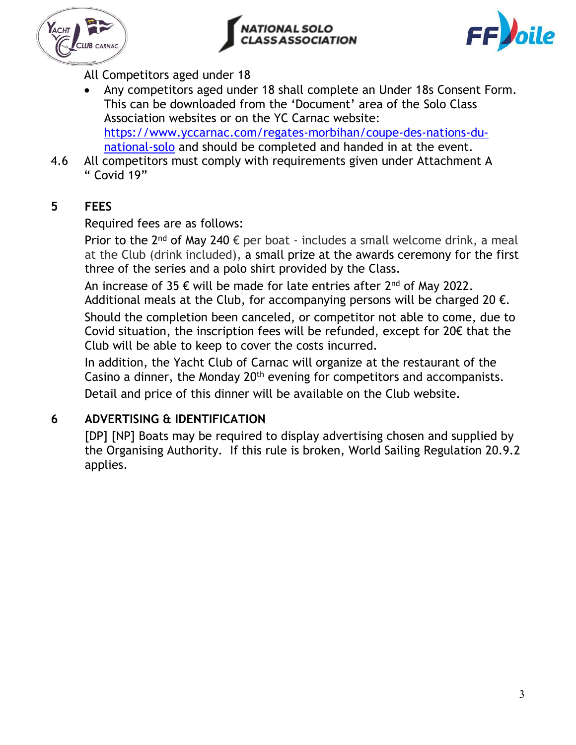





All Competitors aged under 18

- Any competitors aged under 18 shall complete an Under 18s Consent Form. This can be downloaded from the 'Document' area of the Solo Class Association websites or on the YC Carnac website: [https://www.yccarnac.com/regates-morbihan/coupe-des-nations-du](https://www.yccarnac.com/regates-morbihan/coupe-des-nations-du-national-solo)[national-solo](https://www.yccarnac.com/regates-morbihan/coupe-des-nations-du-national-solo) and should be completed and handed in at the event.
- 4.6 All competitors must comply with requirements given under Attachment A " Covid 19"

### **5 FEES**

Required fees are as follows:

Prior to the  $2^{nd}$  of May 240  $\epsilon$  per boat - includes a small welcome drink, a meal at the Club (drink included), a small prize at the awards ceremony for the first three of the series and a polo shirt provided by the Class.

An increase of 35  $\epsilon$  will be made for late entries after 2<sup>nd</sup> of May 2022.

Additional meals at the Club, for accompanying persons will be charged 20  $\epsilon$ .

Should the completion been canceled, or competitor not able to come, due to Covid situation, the inscription fees will be refunded, except for 20€ that the Club will be able to keep to cover the costs incurred.

In addition, the Yacht Club of Carnac will organize at the restaurant of the Casino a dinner, the Monday 20th evening for competitors and accompanists. Detail and price of this dinner will be available on the Club website.

### **6 ADVERTISING & IDENTIFICATION**

[DP] [NP] Boats may be required to display advertising chosen and supplied by the Organising Authority. If this rule is broken, World Sailing Regulation 20.9.2 applies.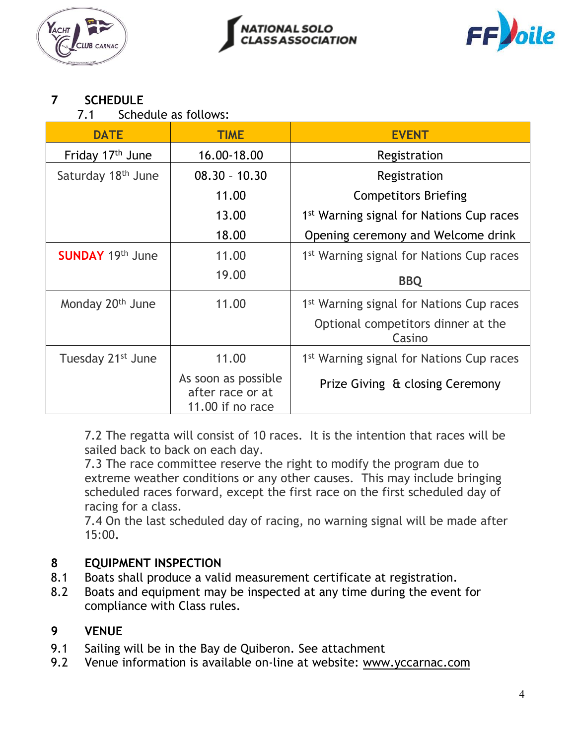





### **7 SCHEDULE**

7.1 Schedule as follows:

| <b>DATE</b>                    | <b>TIME</b>                                                 | <b>EVENT</b>                                         |
|--------------------------------|-------------------------------------------------------------|------------------------------------------------------|
| Friday 17th June               | 16.00-18.00                                                 | Registration                                         |
| Saturday 18 <sup>th</sup> June | $08.30 - 10.30$                                             | Registration                                         |
|                                | 11.00                                                       | <b>Competitors Briefing</b>                          |
|                                | 13.00                                                       | 1 <sup>st</sup> Warning signal for Nations Cup races |
|                                | 18.00                                                       | Opening ceremony and Welcome drink                   |
| <b>SUNDAY 19th June</b>        | 11.00                                                       | 1 <sup>st</sup> Warning signal for Nations Cup races |
|                                | 19.00                                                       | <b>BBQ</b>                                           |
| Monday 20 <sup>th</sup> June   | 11.00                                                       | 1 <sup>st</sup> Warning signal for Nations Cup races |
|                                |                                                             | Optional competitors dinner at the<br>Casino         |
| Tuesday 21 <sup>st</sup> June  | 11.00                                                       | 1 <sup>st</sup> Warning signal for Nations Cup races |
|                                | As soon as possible<br>after race or at<br>11.00 if no race | Prize Giving & closing Ceremony                      |

7.2 The regatta will consist of 10 races. It is the intention that races will be sailed back to back on each day.

7.3 The race committee reserve the right to modify the program due to extreme weather conditions or any other causes. This may include bringing scheduled races forward, except the first race on the first scheduled day of racing for a class.

7.4 On the last scheduled day of racing, no warning signal will be made after 15:00**.** 

### **8 EQUIPMENT INSPECTION**

- 8.1 Boats shall produce a valid measurement certificate at registration.
- 8.2 Boats and equipment may be inspected at any time during the event for compliance with Class rules.

### **9 VENUE**

- 9.1 Sailing will be in the Bay de Quiberon. See attachment
- 9.2 Venue information is available on-line at website: [www.yccarnac.com](http://www.yccarnac.com/)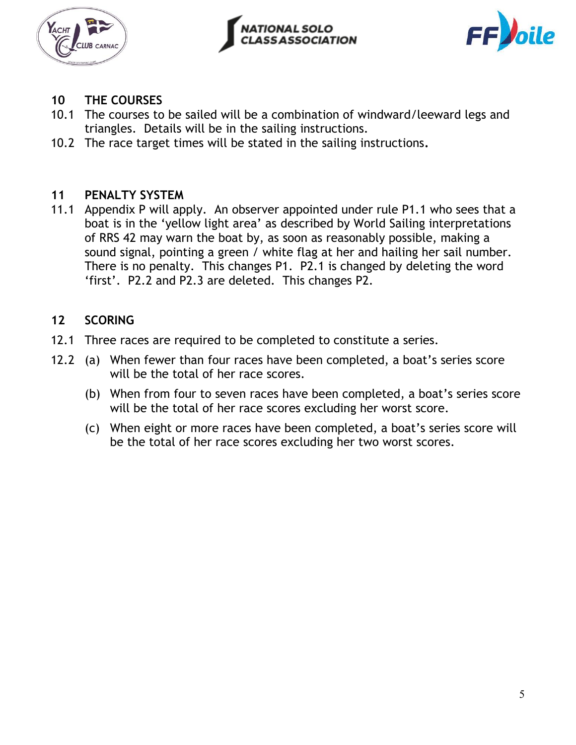





### **10 THE COURSES**

- 10.1 The courses to be sailed will be a combination of windward/leeward legs and triangles. Details will be in the sailing instructions.
- 10.2 The race target times will be stated in the sailing instructions**.**

### **11 PENALTY SYSTEM**

11.1 Appendix P will apply. An observer appointed under rule P1.1 who sees that a boat is in the 'yellow light area' as described by World Sailing interpretations of RRS 42 may warn the boat by, as soon as reasonably possible, making a sound signal, pointing a green / white flag at her and hailing her sail number. There is no penalty. This changes P1. P2.1 is changed by deleting the word 'first'. P2.2 and P2.3 are deleted. This changes P2.

### **12 SCORING**

- 12.1 Three races are required to be completed to constitute a series.
- 12.2 (a) When fewer than four races have been completed, a boat's series score will be the total of her race scores.
	- (b) When from four to seven races have been completed, a boat's series score will be the total of her race scores excluding her worst score.
	- (c) When eight or more races have been completed, a boat's series score will be the total of her race scores excluding her two worst scores.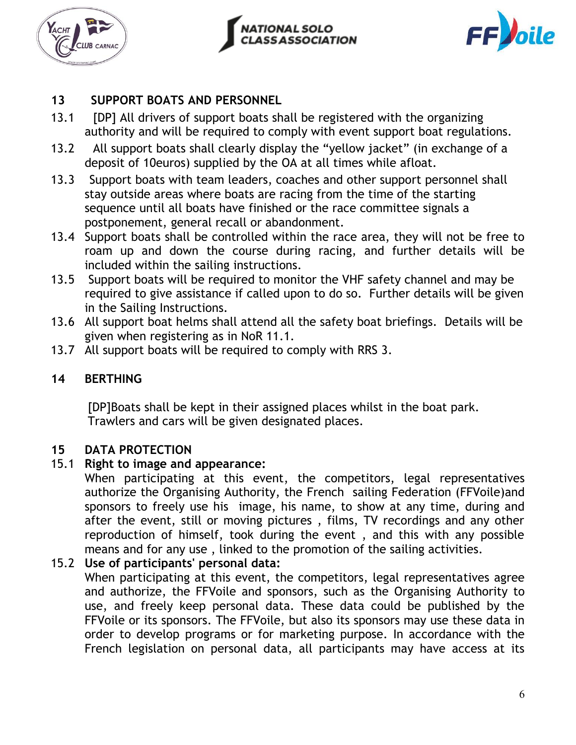





### **13 SUPPORT BOATS AND PERSONNEL**

- 13.1 [DP] All drivers of support boats shall be registered with the organizing authority and will be required to comply with event support boat regulations.
- 13.2 All support boats shall clearly display the "yellow jacket" (in exchange of a deposit of 10euros) supplied by the OA at all times while afloat.
- 13.3 Support boats with team leaders, coaches and other support personnel shall stay outside areas where boats are racing from the time of the starting sequence until all boats have finished or the race committee signals a postponement, general recall or abandonment.
- 13.4 Support boats shall be controlled within the race area, they will not be free to roam up and down the course during racing, and further details will be included within the sailing instructions.
- 13.5 Support boats will be required to monitor the VHF safety channel and may be required to give assistance if called upon to do so. Further details will be given in the Sailing Instructions.
- 13.6 All support boat helms shall attend all the safety boat briefings. Details will be given when registering as in NoR 11.1.
- 13.7 All support boats will be required to comply with RRS 3.

### **14 BERTHING**

[DP]Boats shall be kept in their assigned places whilst in the boat park. Trawlers and cars will be given designated places.

### **15 DATA PROTECTION**

### 15.1 **Right to image and appearance:**

When participating at this event, the competitors, legal representatives authorize the Organising Authority, the French sailing Federation (FFVoile)and sponsors to freely use his image, his name, to show at any time, during and after the event, still or moving pictures , films, TV recordings and any other reproduction of himself, took during the event , and this with any possible means and for any use , linked to the promotion of the sailing activities.

### 15.2 **Use of participants' personal data:**

When participating at this event, the competitors, legal representatives agree and authorize, the FFVoile and sponsors, such as the Organising Authority to use, and freely keep personal data. These data could be published by the FFVoile or its sponsors. The FFVoile, but also its sponsors may use these data in order to develop programs or for marketing purpose. In accordance with the French legislation on personal data, all participants may have access at its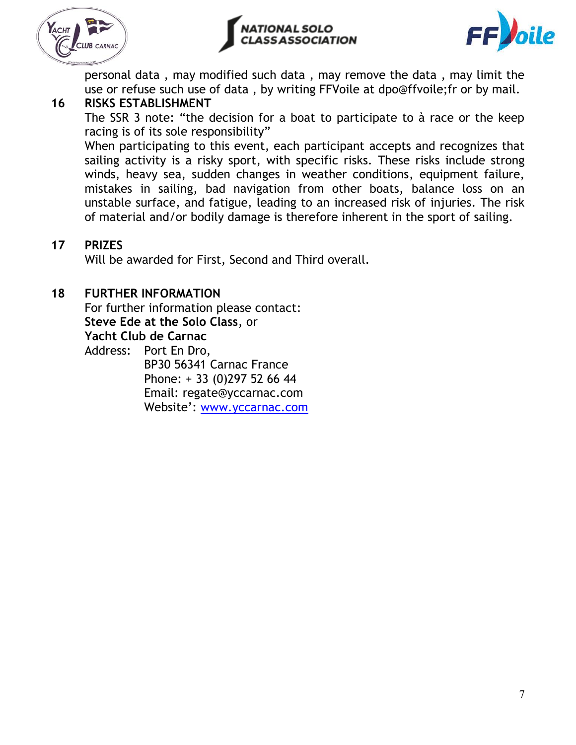





personal data , may modified such data , may remove the data , may limit the use or refuse such use of data , by writing FFVoile at dpo@ffvoile;fr or by mail.

### **16 RISKS ESTABLISHMENT**

The SSR 3 note: "the decision for a boat to participate to à race or the keep racing is of its sole responsibility"

When participating to this event, each participant accepts and recognizes that sailing activity is a risky sport, with specific risks. These risks include strong winds, heavy sea, sudden changes in weather conditions, equipment failure, mistakes in sailing, bad navigation from other boats, balance loss on an unstable surface, and fatigue, leading to an increased risk of injuries. The risk of material and/or bodily damage is therefore inherent in the sport of sailing.

### **17 PRIZES**

Will be awarded for First, Second and Third overall.

### **18 FURTHER INFORMATION**

For further information please contact: **Steve Ede at the Solo Class**, or **Yacht Club de Carnac**

Address: Port En Dro,

BP30 56341 Carnac France Phone: + 33 (0)297 52 66 44 Email: regate@yccarnac.com Website': [www.yccarnac.com](http://www.yccarnac.com/)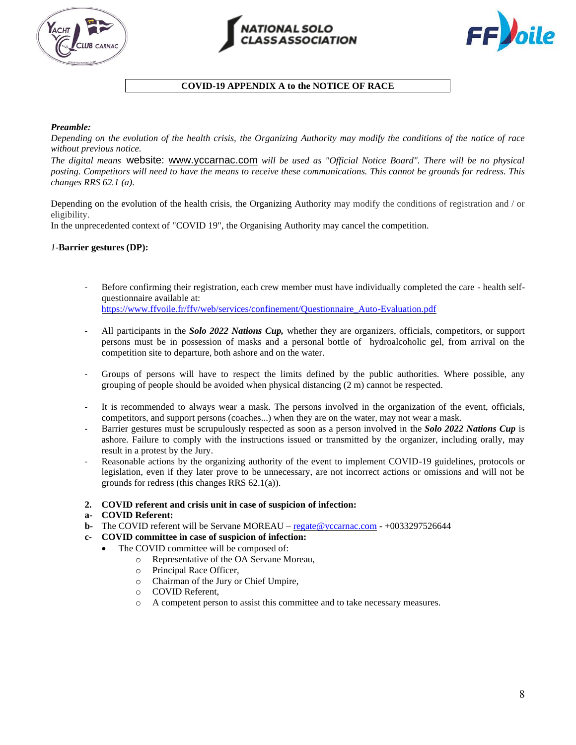





#### **COVID-19 APPENDIX A to the NOTICE OF RACE**

#### *Preamble:*

*Depending on the evolution of the health crisis, the Organizing Authority may modify the conditions of the notice of race without previous notice.*

*The digital means* website: [www.yccarnac.com](http://www.yccarnac.com/) *will be used as "Official Notice Board". There will be no physical posting. Competitors will need to have the means to receive these communications. This cannot be grounds for redress. This changes RRS 62.1 (a).*

Depending on the evolution of the health crisis, the Organizing Authority may modify the conditions of registration and / or eligibility.

In the unprecedented context of "COVID 19", the Organising Authority may cancel the competition.

#### *1-***Barrier gestures (DP):**

- Before confirming their registration, each crew member must have individually completed the care health selfquestionnaire available at: [https://www.ffvoile.fr/ffv/web/services/confinement/Questionnaire\\_Auto-Evaluation.pdf](https://www.ffvoile.fr/ffv/web/services/confinement/Questionnaire_Auto-Evaluation.pdf)
- All participants in the *Solo 2022 Nations Cup*, whether they are organizers, officials, competitors, or support persons must be in possession of masks and a personal bottle of hydroalcoholic gel, from arrival on the competition site to departure, both ashore and on the water.
- Groups of persons will have to respect the limits defined by the public authorities. Where possible, any grouping of people should be avoided when physical distancing (2 m) cannot be respected.
- It is recommended to always wear a mask. The persons involved in the organization of the event, officials, competitors, and support persons (coaches...) when they are on the water, may not wear a mask.
- Barrier gestures must be scrupulously respected as soon as a person involved in the *Solo 2022 Nations Cup* is ashore. Failure to comply with the instructions issued or transmitted by the organizer, including orally, may result in a protest by the Jury.
- Reasonable actions by the organizing authority of the event to implement COVID-19 guidelines, protocols or legislation, even if they later prove to be unnecessary, are not incorrect actions or omissions and will not be grounds for redress (this changes RRS 62.1(a)).
- **2. COVID referent and crisis unit in case of suspicion of infection:**
- **a- COVID Referent:**
- **b-** The COVID referent will be Servane MOREAU [regate@yccarnac.com](mailto:regate@yccarnac.com) +0033297526644
- **c- COVID committee in case of suspicion of infection:**
	- The COVID committee will be composed of:
		- o Representative of the OA Servane Moreau,
		- o Principal Race Officer,
		- o Chairman of the Jury or Chief Umpire,
		- o COVID Referent,
		- o A competent person to assist this committee and to take necessary measures.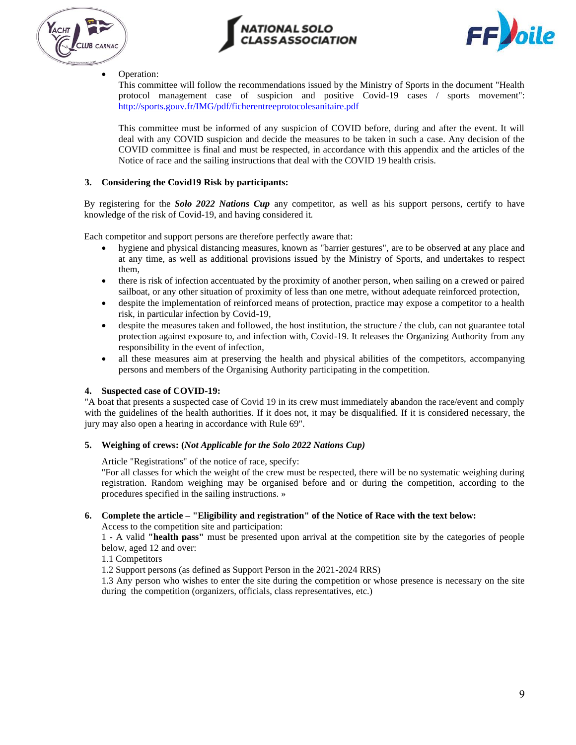





#### • Operation:

This committee will follow the recommendations issued by the Ministry of Sports in the document "Health protocol management case of suspicion and positive Covid-19 cases / sports movement": <http://sports.gouv.fr/IMG/pdf/ficherentreeprotocolesanitaire.pdf>

This committee must be informed of any suspicion of COVID before, during and after the event. It will deal with any COVID suspicion and decide the measures to be taken in such a case. Any decision of the COVID committee is final and must be respected, in accordance with this appendix and the articles of the Notice of race and the sailing instructions that deal with the COVID 19 health crisis.

#### **3. Considering the Covid19 Risk by participants:**

By registering for the *Solo 2022 Nations Cup* any competitor, as well as his support persons, certify to have knowledge of the risk of Covid-19, and having considered it.

Each competitor and support persons are therefore perfectly aware that:

- hygiene and physical distancing measures, known as "barrier gestures", are to be observed at any place and at any time, as well as additional provisions issued by the Ministry of Sports, and undertakes to respect them,
- there is risk of infection accentuated by the proximity of another person, when sailing on a crewed or paired sailboat, or any other situation of proximity of less than one metre, without adequate reinforced protection,
- despite the implementation of reinforced means of protection, practice may expose a competitor to a health risk, in particular infection by Covid-19,
- despite the measures taken and followed, the host institution, the structure / the club, can not guarantee total protection against exposure to, and infection with, Covid-19. It releases the Organizing Authority from any responsibility in the event of infection,
- all these measures aim at preserving the health and physical abilities of the competitors, accompanying persons and members of the Organising Authority participating in the competition.

#### **4. Suspected case of COVID-19:**

"A boat that presents a suspected case of Covid 19 in its crew must immediately abandon the race/event and comply with the guidelines of the health authorities. If it does not, it may be disqualified. If it is considered necessary, the jury may also open a hearing in accordance with Rule 69".

#### **5. Weighing of crews: (***Not Applicable for the Solo 2022 Nations Cup)*

Article "Registrations" of the notice of race, specify:

"For all classes for which the weight of the crew must be respected, there will be no systematic weighing during registration. Random weighing may be organised before and or during the competition, according to the procedures specified in the sailing instructions. »

#### **6. Complete the article – "Eligibility and registration" of the Notice of Race with the text below:**

Access to the competition site and participation:

1 - A valid **"health pass"** must be presented upon arrival at the competition site by the categories of people below, aged 12 and over:

1.1 Competitors

1.2 Support persons (as defined as Support Person in the 2021-2024 RRS)

1.3 Any person who wishes to enter the site during the competition or whose presence is necessary on the site during the competition (organizers, officials, class representatives, etc.)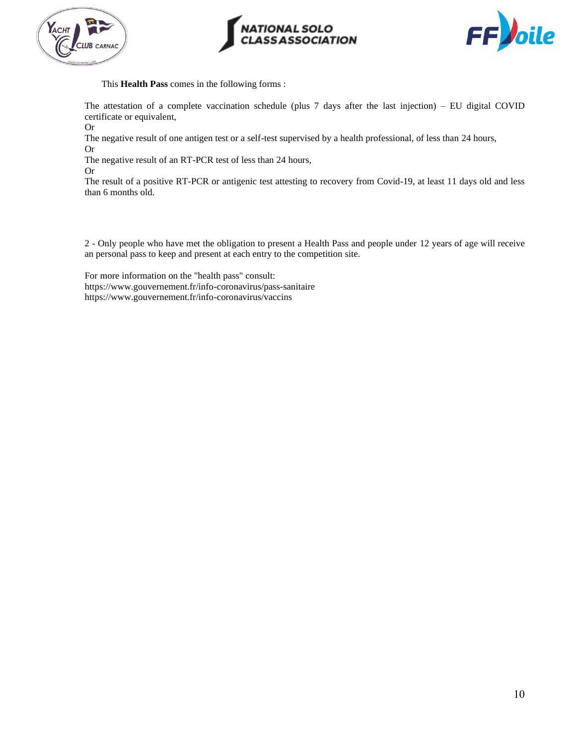





This **Health Pass** comes in the following forms :

The attestation of a complete vaccination schedule (plus 7 days after the last injection) – EU digital COVID certificate or equivalent,

Or

The negative result of one antigen test or a self-test supervised by a health professional, of less than 24 hours,

Or

The negative result of an RT-PCR test of less than 24 hours,

Or

The result of a positive RT-PCR or antigenic test attesting to recovery from Covid-19, at least 11 days old and less than 6 months old.

2 - Only people who have met the obligation to present a Health Pass and people under 12 years of age will receive an personal pass to keep and present at each entry to the competition site.

For more information on the "health pass" consult: <https://www.gouvernement.fr/info-coronavirus/pass-sanitaire> <https://www.gouvernement.fr/info-coronavirus/vaccins>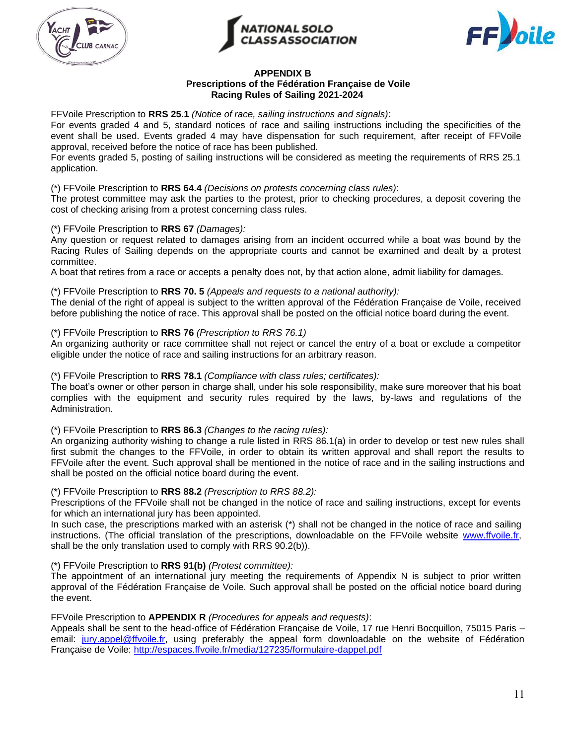





#### **APPENDIX B**

#### **Prescriptions of the Fédération Française de Voile Racing Rules of Sailing 2021-2024**

FFVoile Prescription to **RRS 25.1** *(Notice of race, sailing instructions and signals)*:

For events graded 4 and 5, standard notices of race and sailing instructions including the specificities of the event shall be used. Events graded 4 may have dispensation for such requirement, after receipt of FFVoile approval, received before the notice of race has been published.

For events graded 5, posting of sailing instructions will be considered as meeting the requirements of RRS 25.1 application.

#### (\*) FFVoile Prescription to **RRS 64.4** *(Decisions on protests concerning class rules)*:

The protest committee may ask the parties to the protest, prior to checking procedures, a deposit covering the cost of checking arising from a protest concerning class rules.

#### (\*) FFVoile Prescription to **RRS 67** *(Damages):*

Any question or request related to damages arising from an incident occurred while a boat was bound by the Racing Rules of Sailing depends on the appropriate courts and cannot be examined and dealt by a protest committee.

A boat that retires from a race or accepts a penalty does not, by that action alone, admit liability for damages.

#### (\*) FFVoile Prescription to **RRS 70. 5** *(Appeals and requests to a national authority):*

The denial of the right of appeal is subject to the written approval of the Fédération Française de Voile, received before publishing the notice of race. This approval shall be posted on the official notice board during the event.

#### (\*) FFVoile Prescription to **RRS 76** *(Prescription to RRS 76.1)*

An organizing authority or race committee shall not reject or cancel the entry of a boat or exclude a competitor eligible under the notice of race and sailing instructions for an arbitrary reason.

#### (\*) FFVoile Prescription to **RRS 78.1** *(Compliance with class rules; certificates):*

The boat's owner or other person in charge shall, under his sole responsibility, make sure moreover that his boat complies with the equipment and security rules required by the laws, by-laws and regulations of the Administration.

#### (\*) FFVoile Prescription to **RRS 86.3** *(Changes to the racing rules):*

An organizing authority wishing to change a rule listed in RRS 86.1(a) in order to develop or test new rules shall first submit the changes to the FFVoile, in order to obtain its written approval and shall report the results to FFVoile after the event. Such approval shall be mentioned in the notice of race and in the sailing instructions and shall be posted on the official notice board during the event.

#### (\*) FFVoile Prescription to **RRS 88.2** *(Prescription to RRS 88.2):*

Prescriptions of the FFVoile shall not be changed in the notice of race and sailing instructions, except for events for which an international jury has been appointed.

In such case, the prescriptions marked with an asterisk (\*) shall not be changed in the notice of race and sailing instructions. (The official translation of the prescriptions, downloadable on the FFVoile website [www.ffvoile.fr,](http://www.ffvoile.fr/) shall be the only translation used to comply with RRS 90.2(b)).

#### (\*) FFVoile Prescription to **RRS 91(b)** *(Protest committee):*

The appointment of an international jury meeting the requirements of Appendix N is subject to prior written approval of the Fédération Française de Voile. Such approval shall be posted on the official notice board during the event.

#### FFVoile Prescription to **APPENDIX R** *(Procedures for appeals and requests)*:

Appeals shall be sent to the head-office of Fédération Française de Voile, 17 rue Henri Bocquillon, 75015 Paris – email: [jury.appel@ffvoile.fr,](mailto:jury.appel@ffvoile.fr) using preferably the appeal form downloadable on the website of Fédération Française de Voile:<http://espaces.ffvoile.fr/media/127235/formulaire-dappel.pdf>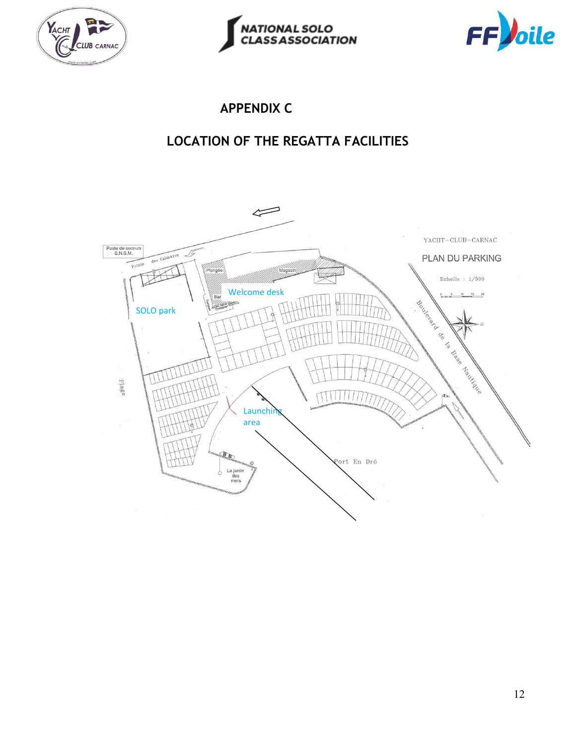





### **APPENDIX C**

## **LOCATION OF THE REGATTA FACILITIES**